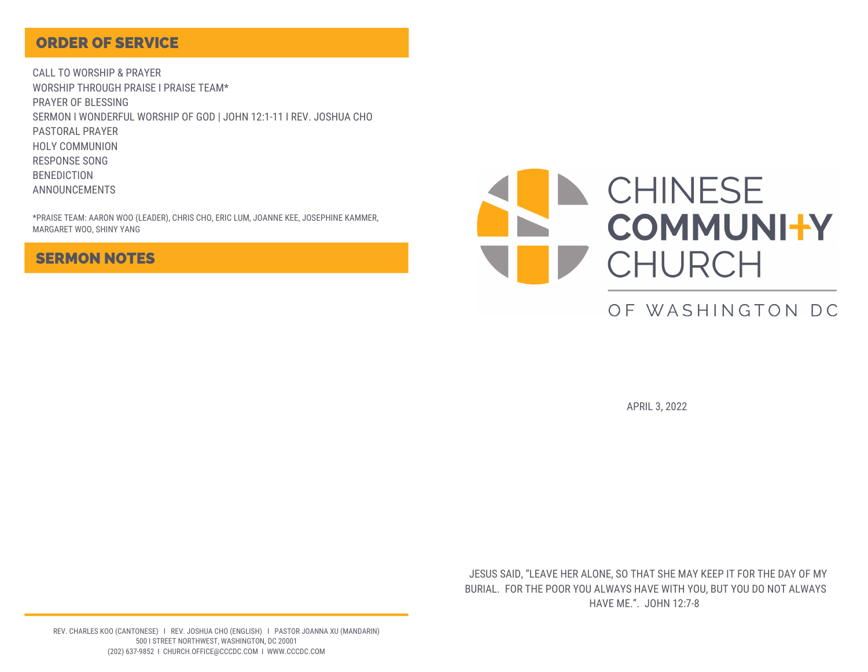### ORDER OF SERVICE

CALL TO WORSHIP & PRAYER WORSHIP THROUGH PRAISE I PRAISE TEAM\* PRAYER OF BLESSING SERMON I WONDERFUL WORSHIP OF GOD | JOHN 12:1-11 I REV. JOSHUA CHO PASTORAL PRAYER HOLY COMMUNION RESPONSE SONG BENEDICTION ANNOUNCEMENTS

\*PRAISE TEAM: AARON WOO (LEADER), CHRIS CHO, ERIC LUM, JOANNE KEE, JOSEPHINE KAMMER, MARGARET WOO, SHINY YANG

### SERMON NOTES



# OF WASHINGTON DC

APRIL 3, 2022

JESUS SAID, "LEAVE HER ALONE, SO THAT SHE MAY KEEP IT FOR THE DAY OF MY BURIAL. FOR THE POOR YOU ALWAYS HAVE WITH YOU, BUT YOU DO NOT ALWAYS HAVE ME.". JOHN 12:7-8

REV. CHARLES KOO (CANTONESE) I REV. JOSHUA CHO (ENGLISH) I PASTOR JOANNA XU (MANDARIN) 500 I STREET NORTHWEST, WASHINGTON, DC 20001 (202) 637-9852 I CHURCH.OFFICE@CCCDC.COM I WWW.CCCDC.COM